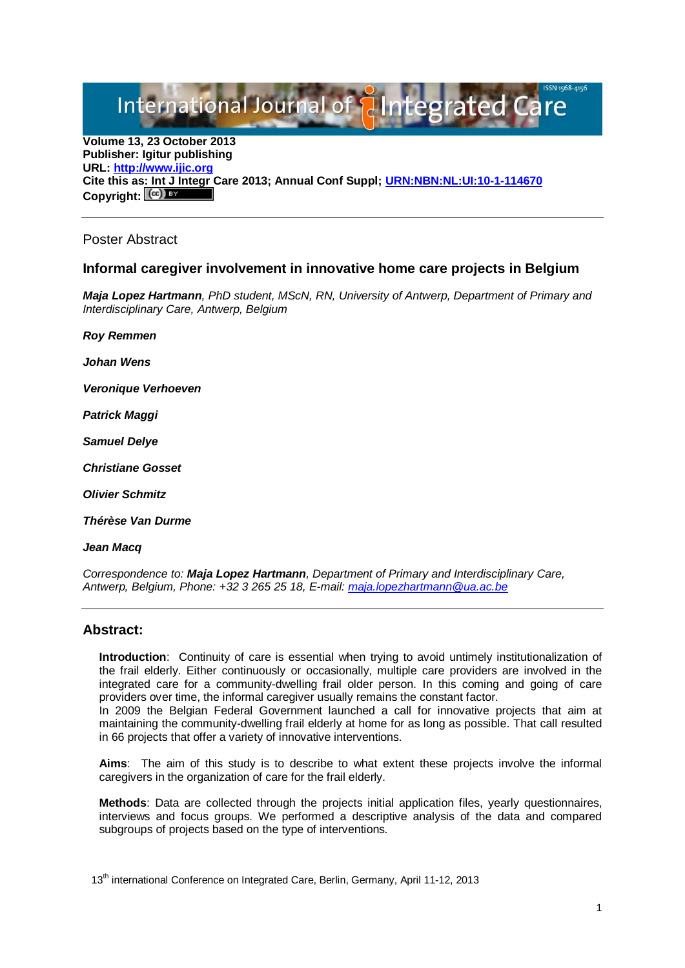International Journal of **Plntegrated** 

**Volume 13, 23 October 2013 Publisher: Igitur publishing URL[: http://www.ijic.org](http://www.ijic.org/) Cite this as: Int J Integr Care 2013; Annual Conf Suppl; [URN:NBN:NL:UI:10-1-114670](http://persistent-identifier.nl/?identifier=URN:NBN:NL:UI:10-1-114670)** Copyright:  $(cc)$ 

### Poster Abstract

## **Informal caregiver involvement in innovative home care projects in Belgium**

*Maja Lopez Hartmann, PhD student, MScN, RN, University of Antwerp, Department of Primary and Interdisciplinary Care, Antwerp, Belgium*

*Roy Remmen* 

*Johan Wens* 

*Veronique Verhoeven* 

*Patrick Maggi* 

*Samuel Delye* 

*Christiane Gosset* 

*Olivier Schmitz* 

*Thérèse Van Durme* 

#### *Jean Macq*

*Correspondence to: Maja Lopez Hartmann, Department of Primary and Interdisciplinary Care, Antwerp, Belgium, Phone: +32 3 265 25 18, E-mail: [maja.lopezhartmann@ua.ac.be](mailto:maja.lopezhartmann@ua.ac.be)*

### **Abstract:**

**Introduction**: Continuity of care is essential when trying to avoid untimely institutionalization of the frail elderly. Either continuously or occasionally, multiple care providers are involved in the integrated care for a community-dwelling frail older person. In this coming and going of care providers over time, the informal caregiver usually remains the constant factor.

In 2009 the Belgian Federal Government launched a call for innovative projects that aim at maintaining the community-dwelling frail elderly at home for as long as possible. That call resulted in 66 projects that offer a variety of innovative interventions.

**Aims**: The aim of this study is to describe to what extent these projects involve the informal caregivers in the organization of care for the frail elderly.

**Methods**: Data are collected through the projects initial application files, yearly questionnaires, interviews and focus groups. We performed a descriptive analysis of the data and compared subgroups of projects based on the type of interventions.